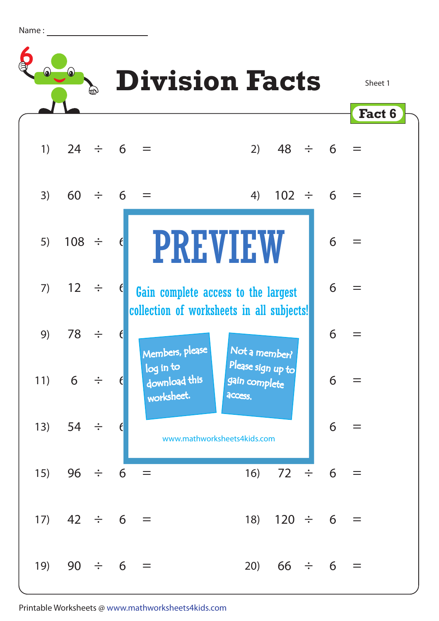